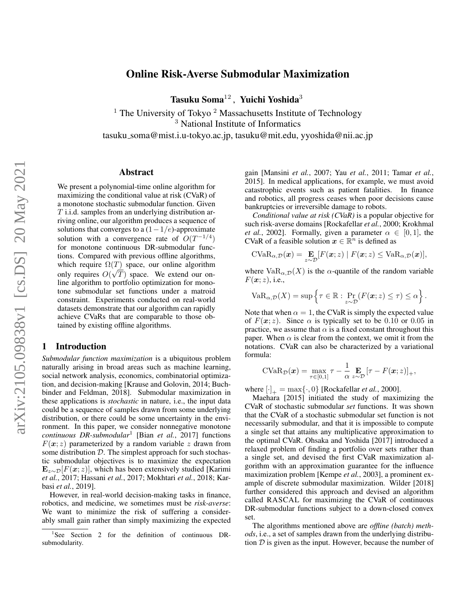# arXiv:2105.09838v1 [cs.DS] 20 May 2021 arXiv:2105.09838v1 [cs.DS] 20 May 2021

# Online Risk-Averse Submodular Maximization

Tasuku Soma $^{12}$ , Yuichi Yoshida<sup>3</sup>

<sup>1</sup> The University of Tokyo<sup>2</sup> Massachusetts Institute of Technology <sup>3</sup> National Institute of Informatics

tasuku soma@mist.i.u-tokyo.ac.jp, tasuku@mit.edu, yyoshida@nii.ac.jp

# Abstract

We present a polynomial-time online algorithm for maximizing the conditional value at risk (CVaR) of a monotone stochastic submodular function. Given T i.i.d. samples from an underlying distribution arriving online, our algorithm produces a sequence of solutions that converges to a  $(1-1/e)$ -approximate solution with a convergence rate of  $O(T^{-1/4})$ for monotone continuous DR-submodular functions. Compared with previous offline algorithms, which require  $\Omega(T)$  space, our online algorithm only requires  $O(\sqrt{T})$  space. We extend our online algorithm to portfolio optimization for monotone submodular set functions under a matroid constraint. Experiments conducted on real-world datasets demonstrate that our algorithm can rapidly achieve CVaRs that are comparable to those obtained by existing offline algorithms.

# 1 Introduction

*Submodular function maximization* is a ubiquitous problem naturally arising in broad areas such as machine learning, social network analysis, economics, combinatorial optimization, and decision-making [\[Krause and Golovin, 2014;](#page-6-0) [Buch](#page-6-1)[binder and Feldman, 2018\]](#page-6-1). Submodular maximization in these applications is *stochastic* in nature, i.e., the input data could be a sequence of samples drawn from some underlying distribution, or there could be some uncertainty in the environment. In this paper, we consider nonnegative monotone *continuous DR-submodular*[1](#page-0-0) [Bian *[et al.](#page-6-2)*, [2017\]](#page-6-2) functions  $F(x; z)$  parameterized by a random variable z drawn from some distribution  $D$ . The simplest approach for such stochastic submodular objectives is to maximize the expectation  $\mathbf{E}_{z\sim\mathcal{D}}[F(\mathbf{x}; z)]$ , which has been extensively studied [\[Karimi](#page-6-3) *[et al.](#page-6-3)*, [2017;](#page-6-3) [Hassani](#page-6-4) *et al.*, [2017;](#page-6-4) [Mokhtari](#page-6-5) *et al.*, [2018;](#page-6-5) [Kar](#page-6-6)basi *[et al.](#page-6-6)*, [2019\]](#page-6-6).

However, in real-world decision-making tasks in finance, robotics, and medicine, we sometimes must be *risk-averse*: We want to minimize the risk of suffering a considerably small gain rather than simply maximizing the expected gain [\[Mansini](#page-6-7) *et al.*, [2007;](#page-6-7) Yau *[et al.](#page-7-0)*, [2011;](#page-7-0) [Tamar](#page-6-8) *et al.*, [2015\]](#page-6-8). In medical applications, for example, we must avoid catastrophic events such as patient fatalities. In finance and robotics, all progress ceases when poor decisions cause bankruptcies or irreversible damage to robots.

*Conditional value at risk (CVaR)* is a popular objective for such risk-averse domains [\[Rockafellar](#page-6-9) *et al.*, [2000;](#page-6-9) [Krokhmal](#page-6-10) *[et al.](#page-6-10)*, [2002\]](#page-6-10). Formally, given a parameter  $\alpha \in [0, 1]$ , the CVaR of a feasible solution  $x \in \mathbb{R}^n$  is defined as

$$
\text{CVaR}_{\alpha,\mathcal{D}}(\boldsymbol{x}) = \mathop{\mathbf{E}}_{z\sim\mathcal{D}}[F(\boldsymbol{x};z) \mid F(\boldsymbol{x};z) \leq \text{VaR}_{\alpha,\mathcal{D}}(\boldsymbol{x})],
$$

where  $VaR_{\alpha,\mathcal{D}}(X)$  is the  $\alpha$ -quantile of the random variable  $F(\mathbf{x}; z)$ , i.e.,

$$
VaR_{\alpha,\mathcal{D}}(X) = \sup \left\{ \tau \in \mathbb{R} : \Pr_{z \sim \mathcal{D}}(F(\boldsymbol{x}; z) \leq \tau) \leq \alpha \right\}.
$$

Note that when  $\alpha = 1$ , the CVaR is simply the expected value of  $F(x; z)$ . Since  $\alpha$  is typically set to be 0.10 or 0.05 in practice, we assume that  $\alpha$  is a fixed constant throughout this paper. When  $\alpha$  is clear from the context, we omit it from the notations. CVaR can also be characterized by a variational formula:

$$
\text{CVaR}_{\mathcal{D}}(\boldsymbol{x}) = \max_{\tau \in [0,1]} \tau - \frac{1}{\alpha} \mathop{\mathbf{E}}_{z \sim \mathcal{D}} [\tau - F(\boldsymbol{x}; z)]_{+},
$$

where  $[\cdot]_+ = \max{\{\cdot, 0\}}$  [\[Rockafellar](#page-6-9) *et al.*, [2000\]](#page-6-9).

[Maehara](#page-6-11) [\[2015\]](#page-6-11) initiated the study of maximizing the CVaR of stochastic submodular *set* functions. It was shown that the CVaR of a stochastic submodular set function is not necessarily submodular, and that it is impossible to compute a single set that attains any multiplicative approximation to the optimal CVaR. [Ohsaka and Yoshida](#page-6-12) [\[2017\]](#page-6-12) introduced a relaxed problem of finding a portfolio over sets rather than a single set, and devised the first CVaR maximization algorithm with an approximation guarantee for the influence maximization problem [\[Kempe](#page-6-13) *et al.*, [2003\]](#page-6-13), a prominent example of discrete submodular maximization. [Wilder](#page-6-14) [\[2018\]](#page-6-14) further considered this approach and devised an algorithm called RASCAL for maximizing the CVaR of continuous DR-submodular functions subject to a down-closed convex set.

The algorithms mentioned above are *offline (batch) methods*, i.e., a set of samples drawn from the underlying distribution  $D$  is given as the input. However, because the number of

<span id="page-0-0"></span><sup>&</sup>lt;sup>1</sup>See Section [2](#page-2-0) for the definition of continuous DRsubmodularity.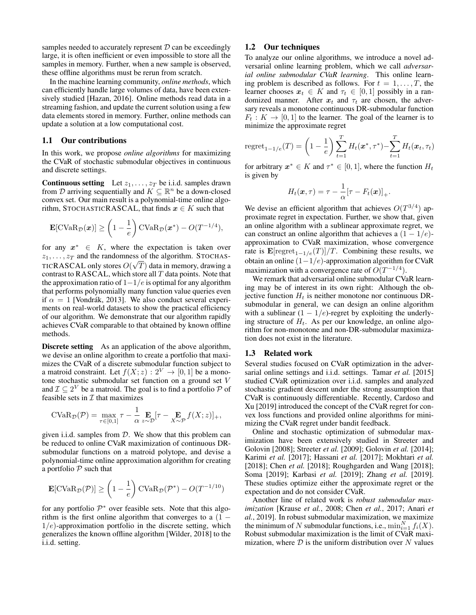samples needed to accurately represent  $D$  can be exceedingly large, it is often inefficient or even impossible to store all the samples in memory. Further, when a new sample is observed, these offline algorithms must be rerun from scratch.

In the machine learning community, *online methods*, which can efficiently handle large volumes of data, have been extensively studied [\[Hazan, 2016\]](#page-6-15). Online methods read data in a streaming fashion, and update the current solution using a few data elements stored in memory. Further, online methods can update a solution at a low computational cost.

# 1.1 Our contributions

In this work, we propose *online algorithms* for maximizing the CVaR of stochastic submodular objectives in continuous and discrete settings.

Continuous setting Let  $z_1, \ldots, z_T$  be i.i.d. samples drawn from D arriving sequentially and  $K \subseteq \mathbb{R}^n$  be a down-closed convex set. Our main result is a polynomial-time online algorithm, STOCHASTICRASCAL, that finds  $x \in K$  such that

$$
\mathbf{E}[\text{CVaR}_{\mathcal{D}}(\boldsymbol{x})] \geq \left(1 - \frac{1}{e}\right) \text{CVaR}_{\mathcal{D}}(\boldsymbol{x}^*) - O(T^{-1/4}),
$$

for any  $x^* \in K$ , where the expectation is taken over  $z_1, \ldots, z_T$  and the randomness of the algorithm. STOCHAS-TICRASCAL only stores  $O(\sqrt{T})$  data in memory, drawing a contrast to RASCAL, which store all  $T$  data points. Note that the approximation ratio of  $1-1/e$  is optimal for any algorithm that performs polynomially many function value queries even if  $\alpha = 1$  [Vondrák, 2013]. We also conduct several experiments on real-world datasets to show the practical efficiency of our algorithm. We demonstrate that our algorithm rapidly achieves CVaR comparable to that obtained by known offline methods.

Discrete setting As an application of the above algorithm, we devise an online algorithm to create a portfolio that maximizes the CVaR of a discrete submodular function subject to a matroid constraint. Let  $f(X; z) : 2^V \rightarrow [0, 1]$  be a monotone stochastic submodular set function on a ground set V and  $\mathcal{I} \subseteq 2^V$  be a matroid. The goal is to find a portfolio  $\mathcal{P}$  of feasible sets in  $\mathcal I$  that maximizes

$$
\text{CVaR}_{\mathcal{D}}(\mathcal{P}) = \max_{\tau \in [0,1]} \tau - \frac{1}{\alpha} \mathop{\mathbf{E}}_{z \sim \mathcal{D}}[\tau - \mathop{\mathbf{E}}_{X \sim \mathcal{P}} f(X; z)]_{+},
$$

given i.i.d. samples from  $D$ . We show that this problem can be reduced to online CVaR maximization of continuous DRsubmodular functions on a matroid polytope, and devise a polynomial-time online approximation algorithm for creating a portfolio  $P$  such that

$$
\mathbf{E}[\text{CVaR}_{\mathcal{D}}(\mathcal{P})] \ge \left(1 - \frac{1}{e}\right) \text{CVaR}_{\mathcal{D}}(\mathcal{P}^*) - O(T^{-1/10})
$$

for any portfolio  $\mathcal{P}^*$  over feasible sets. Note that this algorithm is the first online algorithm that converges to a  $(1 1/e$ )-approximation portfolio in the discrete setting, which generalizes the known offline algorithm [\[Wilder, 2018\]](#page-6-14) to the i.i.d. setting.

# 1.2 Our techniques

To analyze our online algorithms, we introduce a novel adversarial online learning problem, which we call *adversarial online submodular CVaR learning*. This online learning problem is described as follows. For  $t = 1, \ldots, T$ , the learner chooses  $x_t \in K$  and  $\tau_t \in [0, 1]$  possibly in a randomized manner. After  $x_t$  and  $\tau_t$  are chosen, the adversary reveals a monotone continuous DR-submodular function  $F_t: K \to [0, 1]$  to the learner. The goal of the learner is to minimize the approximate regret

regret<sub>1-1/e</sub>(T) = 
$$
\left(1 - \frac{1}{e}\right) \sum_{t=1}^{T} H_t(\mathbf{x}^*, \tau^*) - \sum_{t=1}^{T} H_t(\mathbf{x}_t, \tau_t)
$$

for arbitrary  $x^* \in K$  and  $\tau^* \in [0, 1]$ , where the function  $H_t$ is given by

$$
H_t(\boldsymbol{x},\tau) = \tau - \frac{1}{\alpha} [\tau - F_t(\boldsymbol{x})]_+.
$$

We devise an efficient algorithm that achieves  $O(T^{3/4})$  approximate regret in expectation. Further, we show that, given an online algorithm with a sublinear approximate regret, we can construct an online algorithm that achieves a  $(1 - 1/e)$ approximation to CVaR maximization, whose convergence rate is  $\mathbf{E}[\mathrm{regret}_{1-1/e}(T)]/T$ . Combining these results, we obtain an online (1−1/e)-approximation algorithm for CVaR maximization with a convergence rate of  $O(T^{-1/4})$ .

We remark that adversarial online submodular CVaR learning may be of interest in its own right: Although the objective function  $H_t$  is neither monotone nor continuous DRsubmodular in general, we can design an online algorithm with a sublinear  $(1 - 1/e)$ -regret by exploiting the underlying structure of  $H_t$ . As per our knowledge, an online algorithm for non-monotone and non-DR-submodular maximization does not exist in the literature.

#### 1.3 Related work

Several studies focused on CVaR optimization in the adversarial online settings and i.i.d. settings. [Tamar](#page-6-8) *et al.* [\[2015\]](#page-6-8) studied CVaR optimization over i.i.d. samples and analyzed stochastic gradient descent under the strong assumption that CVaR is continuously differentiable. Recently, [Cardoso and](#page-6-17) [Xu](#page-6-17) [\[2019\]](#page-6-17) introduced the concept of the CVaR regret for convex loss functions and provided online algorithms for minimizing the CVaR regret under bandit feedback.

Online and stochastic optimization of submodular maximization have been extensively studied in [Streeter and](#page-6-18) [Golovin](#page-6-18) [\[2008\]](#page-6-18); [Streeter](#page-6-19) *et al.* [\[2009\]](#page-6-19); [Golovin](#page-6-20) *et al.* [\[2014\]](#page-6-20); [Karimi](#page-6-3) *et al.* [\[2017\]](#page-6-3); [Hassani](#page-6-4) *et al.* [\[2017\]](#page-6-4); [Mokhtari](#page-6-5) *et al.* [\[2018\]](#page-6-22); [Chen](#page-6-21) *et al.* [2018]; [Roughgarden and Wang](#page-6-22) [2018]; [Soma](#page-6-23) [\[2019\]](#page-6-23); [Karbasi](#page-6-6) *et al.* [\[2019\]](#page-6-6); [Zhang](#page-7-1) *et al.* [\[2019\]](#page-7-1). These studies optimize either the approximate regret or the expectation and do not consider CVaR.

Another line of related work is *robust submodular maximization* [\[Krause](#page-6-24) *et al.*, [2008;](#page-6-24) [Chen](#page-6-25) *et al.*, [2017;](#page-6-25) [Anari](#page-6-26) *et [al.](#page-6-26)*, [2019\]](#page-6-26). In robust submodular maximization, we maximize the minimum of N submodular functions, i.e.,  $\min_{i=1}^{N} f_i(X)$ . Robust submodular maximization is the limit of CVaR maximization, where  $D$  is the uniform distribution over N values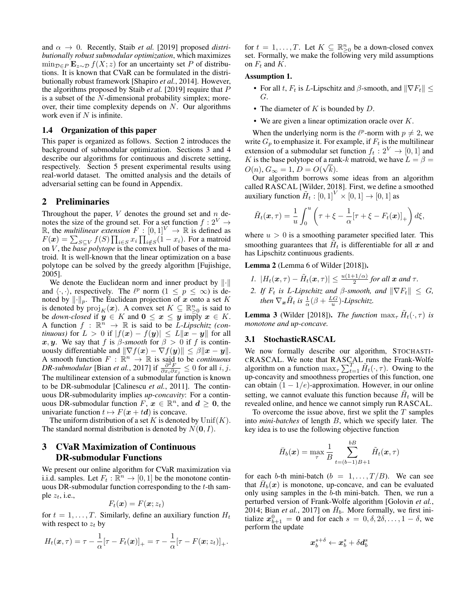and  $\alpha \rightarrow 0$ . Recently, [Staib](#page-6-27) *et al.* [\[2019\]](#page-6-27) proposed *distributionally robust submodular optimization*, which maximizes  $\min_{\mathcal{D} \in P} \mathbf{E}_{z \sim \mathcal{D}} f(X; z)$  for an uncertainty set P of distributions. It is known that CVaR can be formulated in the distributionally robust framework [\[Shapiro](#page-6-28) *et al.*, [2014\]](#page-6-28). However, the algorithms proposed by [Staib](#page-6-27) *et al.* [\[2019\]](#page-6-27) require that P is a subset of the N-dimensional probability simplex; moreover, their time complexity depends on  $N$ . Our algorithms work even if  $N$  is infinite.

# 1.4 Organization of this paper

This paper is organized as follows. Section [2](#page-2-0) introduces the background of submodular optimization. Sections [3](#page-2-1) and [4](#page-4-0) describe our algorithms for continuous and discrete setting, respectively. Section [5](#page-4-1) present experimental results using real-world dataset. The omitted analysis and the details of adversarial setting can be found in Appendix.

# <span id="page-2-0"></span>2 Preliminaries

Throughout the paper,  $V$  denotes the ground set and  $n$  denotes the size of the ground set. For a set function  $f: 2^V \rightarrow$ R, the *multilinear extension*  $F : [0,1]^V \rightarrow \mathbb{R}$  is defined as  $F(\boldsymbol{x}) = \sum_{S \subseteq V} f(S) \prod_{i \in S} x_i \prod_{i \notin S} (1-x_i)$ . For a matroid on V , the *base polytope* is the convex hull of bases of the matroid. It is well-known that the linear optimization on a base polytope can be solved by the greedy algorithm [\[Fujishige,](#page-6-29) [2005\]](#page-6-29).

We denote the Euclidean norm and inner product by  $\left\| \cdot \right\|$ and  $\langle \cdot, \cdot \rangle$ , respectively. The  $\ell^p$  norm  $(1 \leq p \leq \infty)$  is denoted by  $\lVert \cdot \rVert_p$ . The Euclidean projection of x onto a set K is denoted by  $\text{proj}_K(\boldsymbol{x})$ . A convex set  $K \subseteq \mathbb{R}_{\geq 0}^n$  is said to be *down-closed* if  $y \in K$  and  $0 \le x \le y$  imply  $x \in K$ . A function  $f : \mathbb{R}^n \to \mathbb{R}$  is said to be *L-Lipschitz (continuous*) for  $L > 0$  if  $|f(x) - f(y)| \le L \|x - y\|$  for all x, y. We say that f is  $\beta$ -smooth for  $\beta > 0$  if f is continuously differentiable and  $\|\nabla f(\mathbf{x}) - \nabla f(\mathbf{y})\| \leq \beta \|\mathbf{x} - \mathbf{y}\|.$ A smooth function  $F : \mathbb{R}^n \to \mathbb{R}$  is said to be *continuous DR-submodular* [\[Bian](#page-6-2) *et al.*, [2017\]](#page-6-2) if  $\frac{\partial^2 F}{\partial x_i \partial x_j} \leq 0$  for all *i*, *j*. The multilinear extension of a submodular function is known to be DR-submodular [\[Calinescu](#page-6-30) *et al.*, [2011\]](#page-6-30). The continuous DR-submodularity implies *up-concavity*: For a continuous DR-submodular function  $F, x \in \mathbb{R}^n$ , and  $d \ge 0$ , the univariate function  $t \mapsto F(x + td)$  is concave.

The uniform distribution of a set K is denoted by  $\mathrm{Unif}(K)$ . The standard normal distribution is denoted by  $N(\mathbf{0}, I)$ .

# <span id="page-2-1"></span>3 CVaR Maximization of Continuous DR-submodular Functions

We present our online algorithm for CVaR maximization via i.i.d. samples. Let  $F_t : \mathbb{R}^n \to [0,1]$  be the monotone continuous DR-submodular function corresponding to the  $t$ -th sample  $z_t$ , i.e.,

$$
F_t(\boldsymbol{x}) = F(\boldsymbol{x}; z_t)
$$

for  $t = 1, \ldots, T$ . Similarly, define an auxiliary function  $H_t$ with respect to  $z_t$  by

$$
H_t(\boldsymbol{x},\tau)=\tau-\frac{1}{\alpha}[\tau-F_t(\boldsymbol{x})]_+=\tau-\frac{1}{\alpha}[\tau-F(\boldsymbol{x};z_t)]_+.
$$

for  $t = 1, ..., T$ . Let  $K \subseteq \mathbb{R}_{\geq 0}^n$  be a down-closed convex set. Formally, we make the following very mild assumptions on  $F_t$  and  $K$ .

# <span id="page-2-2"></span>Assumption 1.

- For all t,  $F_t$  is L-Lipschitz and  $\beta$ -smooth, and  $\|\nabla F_t\| \leq$ G.
- The diameter of  $K$  is bounded by  $D$ .
- We are given a linear optimization oracle over  $K$ .

When the underlying norm is the  $\ell^p$ -norm with  $p \neq 2$ , we write  $G_p$  to emphasize it. For example, if  $F_t$  is the multilinear extension of a submodular set function  $f_t: 2^V \to [0, 1]$  and K is the base polytope of a rank-k matroid, we have  $L = \beta =$  $O(n)$ ,  $G_{\infty} = 1$ ,  $D = O(\sqrt{k})$ .

Our algorithm borrows some ideas from an algorithm called RASCAL [\[Wilder, 2018\]](#page-6-14). First, we define a smoothed auxiliary function  $\tilde{H}_t: [0,1]^V \times [0,1] \rightarrow [0,1]$  as

$$
\tilde{H}_t(\boldsymbol{x},\tau) = \frac{1}{u} \int_0^u \left( \tau + \xi - \frac{1}{\alpha} [\tau + \xi - F_t(\boldsymbol{x})]_+ \right) d\xi,
$$

where  $u > 0$  is a smoothing parameter specified later. This smoothing guarantees that  $\tilde{H}_t$  is differentiable for all x and has Lipschitz continuous gradients.

Lemma 2 (Lemma 6 of [Wilder](#page-6-14) [\[2018\]](#page-6-14)).

- *1.*  $|H_t(\mathbf{x}, \tau) \tilde{H}_t(\mathbf{x}, \tau)| \leq \frac{u(1+1/\alpha)}{2}$  for all  $\mathbf{x}$  and  $\tau$ .
- *2. If*  $F_t$  *is L-Lipschitz and*  $\beta$ *-smooth, and*  $\|\nabla F_t\| \leq G$ *, then*  $\nabla_{\boldsymbol{x}} \tilde{H}_t$  *is*  $\frac{1}{\alpha}(\beta + \frac{LG}{u})$ -Lipschitz.

**Lemma 3** [\(Wilder](#page-6-14) [\[2018\]](#page-6-14)). *The function*  $\max_{\tau} \tilde{H}_t(\cdot, \tau)$  *is monotone and up-concave.*

## 3.1 StochasticRASCAL

We now formally describe our algorithm, STOCHASTI-CRASCAL. We note that RASCAL runs the Frank-Wolfe algorithm on a function  $\max_{\tau} \sum_{t=1}^{T} \tilde{H}_t(\cdot, \tau)$ . Owing to the up-concavity and smoothness properties of this function, one can obtain  $(1 - 1/e)$ -approximation. However, in our online setting, we cannot evaluate this function because  $\tilde{H}_t$  will be revealed online, and hence we cannot simply run RASCAL.

To overcome the issue above, first we split the  $T$  samples into *mini-batches* of length B, which we specify later. The key idea is to use the following objective function

$$
\bar{H}_b(\boldsymbol{x}) = \max_{\tau} \frac{1}{B} \sum_{t=(b-1)B+1}^{bB} \tilde{H}_t(\boldsymbol{x},\tau)
$$

for each b-th mini-batch  $(b = 1, \ldots, T/B)$ . We can see that  $\bar{H}_b(x)$  is monotone, up-concave, and can be evaluated only using samples in the b-th mini-batch. Then, we run a perturbed version of Frank-Wolfe algorithm [\[Golovin](#page-6-20) *et al.*, [2014;](#page-6-20) Bian *[et al.](#page-6-2)*, [2017\]](#page-6-2) on  $\bar{H}_b$ . More formally, we first initialize  $x_{b+1}^0 = 0$  and for each  $s = 0, \delta, 2\delta, \ldots, 1 - \delta$ , we perform the update

$$
\bm{x}_b^{s+\delta} \leftarrow \bm{x}_b^s + \delta \bm{d}_b^s
$$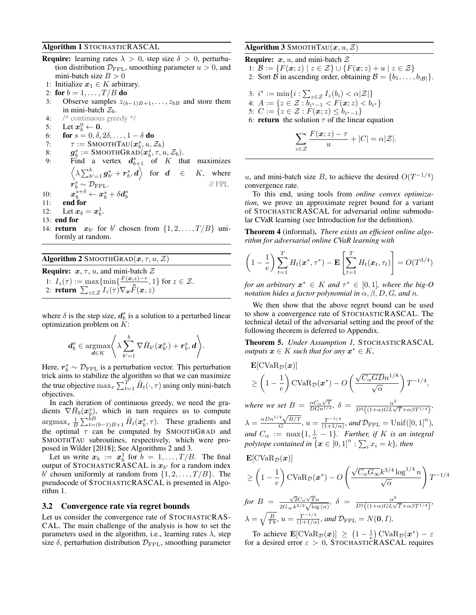## <span id="page-3-2"></span>Algorithm 1 STOCHASTICRASCAL

- **Require:** learning rates  $\lambda > 0$ , step size  $\delta > 0$ , perturbation distribution  $\mathcal{D}_{\text{FPL}}$ , smoothing parameter  $u > 0$ , and mini-batch size  $B > 0$
- 1: Initialize  $x_1 \in K$  arbitrary.
- 2: for  $b = 1, ..., T/B$  do
- 3: Observe samples  $z_{(b-1)B+1}, \ldots, z_{bB}$  and store them in mini-batch  $\mathcal{Z}_b$ .
- 4: /\* continuous greedy \*/
- 5: Let  $x_b^0 \leftarrow 0$ .
- 6: **for**  $s = 0, \delta, 2\delta, \ldots, 1 \delta$  do
- 7:  $\tau := \text{SMOOTHTAU}(\boldsymbol{x}_b^s, u, \mathcal{Z}_b)$
- 8: g  $s_b^s := \mathtt{SMOOTHGRAD}(\boldsymbol{x}_b^s, \tau, \boldsymbol{u}, \mathcal{Z}_b).$
- 9: Find a vertex  $d_{b+1}^s$  of K that maximizes  $\left\langle \lambda \sum_{b^{\prime}=1}^{b} \bm{g}^{s}_{b^{\prime}} + \bm{r}^{s}_{b}, \bm{d} \right\rangle$  for  $\bm{d} \in K,$  where  $\hat{\boldsymbol{r}}_b^s \sim \mathcal{D}_{\text{FPL}}.$  // FPL 10:  $\boldsymbol{x}_b^{s+\delta}\leftarrow \boldsymbol{x}_b^s + \delta \boldsymbol{d}_b^s$
- <span id="page-3-3"></span>11: end for
- 12: Let  $x_b = x_b^1$ .
- 13: end for
- 14: **return**  $x_{b'}$  for b' chosen from  $\{1, 2, ..., T/B\}$  uniformly at random.

<span id="page-3-0"></span>Algorithm 2 SMOOTHGRAD $(x, \tau, u, \mathcal{Z})$ **Require:**  $x, \tau, u$ , and mini-batch  $\mathcal{Z}$ 1:  $I_z(\tau) := \max\{\min\{\frac{F(x;z)-\tau}{u}\}$  $\{\frac{z}{u}, \frac{z}{v}\}$  for  $z \in \mathcal{Z}$ . 2: return  $\sum_{z\in\mathcal{Z}}I_z(\tau)\nabla_{\bm{x}}\vec{F}(\bm{x},z)$ 

where  $\delta$  is the step size,  $d_b^s$  is a solution to a perturbed linear optimization problem on  $K$ :

$$
\boldsymbol{d}^s_{b} \in \operatornamewithlimits{argmax}_{\boldsymbol{d} \in K} \Bigg\langle \lambda \sum \limits_{b'=1}^{b} \nabla \bar{H}_{b'}(\boldsymbol{x}^s_{b'}) + \boldsymbol{r}^s_{b}, \boldsymbol{d} \Bigg\rangle.
$$

Here,  $r_b^s \sim \mathcal{D}_{\text{FPL}}$  is a perturbation vector. This perturbation trick aims to stabilize the algorithm so that we can maximize the true objective  $\max_{\tau} \sum_{t=1}^T \tilde{H}_t(\cdot,\tau)$  using only mini-batch objectives.

In each iteration of continuous greedy, we need the gradients  $\nabla \bar{H}_b(x_b^s)$ , which in turn requires us to compute  $\argmax_{\tau} \frac{1}{B} \sum_{t=(b-1)B+1}^{b} \tilde{H}_t(\boldsymbol{x}_{b}^s, \tau)$ . These gradients and the optimal  $\tau$  can be computed by SMOOTHGRAD and SMOOTHTAU subroutines, respectively, which were proposed in [Wilder](#page-6-14) [\[2018\]](#page-6-14); See Algorithms [2](#page-3-0) and [3.](#page-3-1)

Let us write  $x_b := x_b^1$  for  $b = 1, ..., T/B$ . The final output of STOCHASTICRASCAL is  $x_{b'}$  for a random index b' chosen uniformly at random from  $\{1, 2, \ldots, T/B\}$ . The pseudocode of STOCHASTICRASCAL is presented in Algorithm [1.](#page-3-2)

#### 3.2 Convergence rate via regret bounds

Let us consider the convergence rate of STOCHASTICRAS-CAL. The main challenge of the analysis is how to set the parameters used in the algorithm, i.e., learning rates  $\lambda$ , step size  $\delta$ , perturbation distribution  $\mathcal{D}_{\text{FPL}}$ , smoothing parameter

# <span id="page-3-1"></span>Algorithm 3 SMOOTHTAU $(x, u, \mathcal{Z})$

z∈Z

**Require:**  $x$ ,  $u$ , and mini-batch  $\mathcal Z$ 1:  $\mathcal{B} := \{ F(x; z) \mid z \in \mathcal{Z} \} \cup \{ F(x; z) + u \mid z \in \mathcal{Z} \}$ 2: Sort B in ascending order, obtaining  $\mathcal{B} = \{b_1, \ldots, b_{|\mathcal{B}|}\}.$ 3:  $i^* := \min\{i : \sum_{z \in \mathcal{Z}} I_z(b_i) < \alpha|\mathcal{Z}|\}$ 4:  $A := \{z \in \mathcal{Z} : b_{i^* - 1} < F(\boldsymbol{x}; z) < b_{i^*}\}$ 5:  $C := \{ z \in \mathcal{Z} : F(\bm{x}; z) \le b_{i^*-1} \}$ 6: **return** the solution  $\tau$  of the linear equation  $\sum$  $F(\bm{x}; z) - \tau$  $\frac{\mathcal{Z}}{u} + |C| = \alpha |\mathcal{Z}|.$ 

u, and mini-batch size B, to achieve the desired  $O(T^{-1/4})$ convergence rate.

To this end, using tools from *online convex optimization*, we prove an approximate regret bound for a variant of STOCHASTICRASCAL for adversarial online submodular CVaR learning (see Introduction for the definition).

<span id="page-3-4"></span>Theorem 4 (informal). *There exists an efficient online algorithm for adversarial online CVaR learning with*

$$
\left(1-\frac{1}{e}\right)\sum_{t=1}^T H_t(\boldsymbol{x}^*,\tau^*) - \mathbf{E}\left[\sum_{t=1}^T H_t(\boldsymbol{x}_t,\tau_t)\right] = O(T^{3/4})
$$

*for an arbitrary*  $x^* \in K$  *and*  $\tau^* \in [0,1]$ *, where the big-O notation hides a factor polynomial in*  $\alpha$ ,  $\beta$ ,  $D$ ,  $G$ , and  $n$ .

We then show that the above regret bound can be used to show a convergence rate of STOCHASTICRASCAL. The technical detail of the adversarial setting and the proof of the following theorem is deferred to Appendix.

<span id="page-3-5"></span>Theorem 5. *Under Assumption [1,](#page-2-2)* STOCHASTICRASCAL *outputs*  $x \in K$  *such that for any*  $x^* \in K$ *,* 

$$
\mathbf{E}[\text{CVaR}_{\mathcal{D}}(\boldsymbol{x})]
$$
  
\n
$$
\geq \left(1 - \frac{1}{e}\right) \text{CVaR}_{\mathcal{D}}(\boldsymbol{x}^*) - O\left(\frac{\sqrt{C_{\alpha}GD}n^{1/8}}{\sqrt{\alpha}}\right) T^{-1/4},
$$

*where we set*  $B = \frac{\alpha C_{\alpha} \sqrt{T}}{D G n^{1/4}}$ ,  $\delta = \frac{\alpha^2}{D^2 \left( (1+\alpha) GL\sqrt{T} + \alpha \beta T^{1/4} \right)}$ ,  $\lambda = \frac{\alpha D n^{1/4} \sqrt{B/T}}{G}$  $\frac{4\sqrt{B/T}}{G}$ ,  $u = \frac{T^{-1/4}}{(1+1/\alpha)}$  $\frac{T^{-1/4}}{(1+1/\alpha)}$ *, and*  $\mathcal{D}_{\text{FPL}} = \text{Unif}([0,1]^n)$ *, and*  $C_{\alpha}$  :=  $\max\{1, \frac{1}{\alpha} - 1\}$ *. Further, if* K *is an integral* polytope contained in  $\mathfrak{x} \in [0,1]^n : \sum_i x_i = k$ , then

$$
\mathbf{E}[\text{CVaR}_{\mathcal{D}}(\boldsymbol{x})]
$$
\n
$$
\geq \left(1 - \frac{1}{e}\right) \text{CVaR}_{\mathcal{D}}(\boldsymbol{x}^*) - O\left(\frac{\sqrt{C_{\alpha}G_{\infty}}k^{3/4}\log^{1/4}n}{\sqrt{\alpha}}\right) T^{-1/4}
$$
\n
$$
\text{for } B = \frac{\sqrt{2}C_{\alpha}\sqrt{T_{\alpha}}}{2G_{\infty}k^{3/2}\sqrt{\log(n)}}, \delta = \frac{\alpha^2}{D^2((1+\alpha)GL\sqrt{T}+\alpha\beta T^{1/4})},
$$
\n
$$
\lambda = \sqrt{\frac{B}{Tk}}, u = \frac{T^{-1/4}}{(1+1/\alpha)}, \text{ and } \mathcal{D}_{\text{FPL}} = N(\mathbf{0}, I).
$$

To achieve  $\mathbf{E}[\text{CVaR}_{\mathcal{D}}(\boldsymbol{x})] \geq (1 - \frac{1}{e}) \text{CVaR}_{\mathcal{D}}(\boldsymbol{x}^*) - \varepsilon$ for a desired error  $\varepsilon > 0$ , STOCHASTICRASCAL requires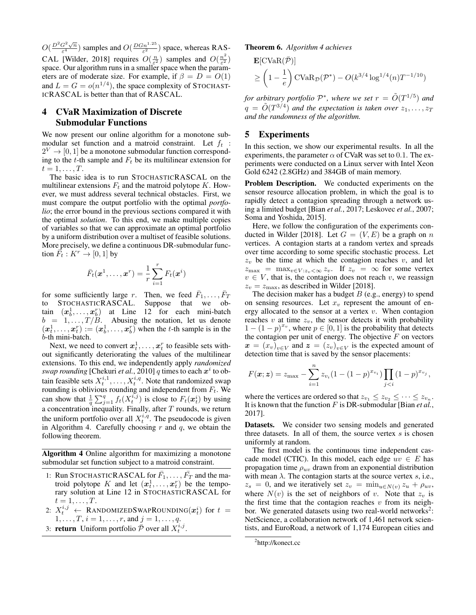$O(\frac{D^2G^2\sqrt{n}}{\epsilon^4})$  $\frac{G^2\sqrt{n}}{\varepsilon^4}$ ) samples and  $O(\frac{D G n^{1.25}}{\varepsilon^2})$  space, whereas RAS-CAL [\[Wilder, 2018\]](#page-6-14) requires  $O(\frac{n}{\varepsilon^2})$  samples and  $O(\frac{n^2}{\varepsilon^2})$  $\frac{n^2}{\varepsilon^2})$ space. Our algorithm runs in a smaller space when the parameters are of moderate size. For example, if  $\beta = D = O(1)$ and  $L = G = o(n^{1/4})$ , the space complexity of STOCHAST-ICRASCAL is better than that of RASCAL.

# <span id="page-4-0"></span>4 CVaR Maximization of Discrete Submodular Functions

We now present our online algorithm for a monotone submodular set function and a matroid constraint. Let  $f_t$ :  $2^V \rightarrow [0, 1]$  be a monotone submodular function corresponding to the t-th sample and  $F_t$  be its multilinear extension for  $t=1,\ldots,T$ .

The basic idea is to run STOCHASTICRASCAL on the multilinear extensions  $F_t$  and the matroid polytope K. However, we must address several technical obstacles. First, we must compare the output portfolio with the optimal *portfolio*; the error bound in the previous sections compared it with the optimal *solution*. To this end, we make multiple copies of variables so that we can approximate an optimal portfolio by a uniform distribution over a multiset of feasible solutions. More precisely, we define a continuous DR-submodular function  $\vec{F}_t : K^r \to [0,1]$  by

$$
\bar{F}_t(\boldsymbol{x}^1,\ldots,\boldsymbol{x}^r)=\frac{1}{r}\sum_{i=1}^rF_t(\boldsymbol{x}^i)
$$

for some sufficiently large r. Then, we feed  $\bar{F}_1, \ldots, \bar{F}_T$ <br>to STOCHASTICRASCAL. Suppose that we obtain  $(x_b^1, \ldots, x_b^r)$  at Line [12](#page-3-3) for each mini-batch  $b = 1, \ldots, T/B$ . Abusing the notation, let us denote  $(x_t^1, \ldots, x_t^r) := (x_b^1, \ldots, x_b^r)$  when the t-th sample is in the b-th mini-batch.

Next, we need to convert  $x_t^1, \ldots, x_t^r$  to feasible sets without significantly deteriorating the values of the multilinear extensions. To this end, we independently apply *randomized swap rounding* [\[Chekuri](#page-6-31) *et al.*, [2010\]](#page-6-31)  $q$  times to each  $x^i$  to obtain feasible sets  $X_t^{i,1}, \ldots, X_t^{i,q}$ . Note that randomized swap rounding is oblivious rounding and independent from  $F_t$ . We can show that  $\frac{1}{q} \sum_{j=1}^{q} f_t(X_t^{i,j})$  is close to  $F_t(\boldsymbol{x}_t^i)$  by using a concentration inequality. Finally, after  $T$  rounds, we return the uniform portfolio over all  $X_t^{i,q}$ . The pseudocode is given in Algorithm [4.](#page-4-2) Carefully choosing  $r$  and  $q$ , we obtain the following theorem.

<span id="page-4-2"></span>Algorithm 4 Online algorithm for maximizing a monotone submodular set function subject to a matroid constraint.

- 1: Run STOCHASTICRASCAL for  $\bar{F}_1, \ldots, \bar{F}_T$  and the matroid polytope K and let  $(x_t^1, \ldots, x_t^r)$  be the temporary solution at Line [12](#page-3-3) in STOCHASTICRASCAL for  $t=1,\ldots,T$ .
- 2:  $X_t^{i,j}$   $\leftarrow$  RANDOMIZEDSWAPROUNDING( $\boldsymbol{x}_t^{i}$ ) for  $t =$  $1, \ldots, T, i = 1, \ldots, r$ , and  $j = 1, \ldots, q$ .
- 3: **return** Uniform portfolio  $\bar{P}$  over all  $X_t^{i,j}$ .

<span id="page-4-4"></span>Theorem 6. *Algorithm [4](#page-4-2) achieves*

$$
\mathbf{E}[\text{CVaR}(\overline{P})]
$$
  
\n
$$
\geq \left(1 - \frac{1}{e}\right) \text{CVaR}_{\mathcal{D}}(\mathcal{P}^*) - O(k^{3/4} \log^{1/4}(n) T^{-1/10})
$$

for arbitrary portfolio  $\mathcal{P}^*$ , where we set  $r = \tilde{O}(T^{1/5})$  and  $q = \tilde{O}(T^{3/4})$  and the expectation is taken over  $z_1, \ldots, z_T$ *and the randomness of the algorithm.*

# <span id="page-4-1"></span>5 Experiments

In this section, we show our experimental results. In all the experiments, the parameter  $\alpha$  of CVaR was set to 0.1. The experiments were conducted on a Linux server with Intel Xeon Gold 6242 (2.8GHz) and 384GB of main memory.

Problem Description. We conducted experiments on the sensor resource allocation problem, in which the goal is to rapidly detect a contagion spreading through a network using a limited budget [\[Bian](#page-6-2) *et al.*, [2017;](#page-6-2) [Leskovec](#page-6-32) *et al.*, [2007;](#page-6-32) [Soma and Yoshida, 2015\]](#page-6-33).

Here, we follow the configuration of the experiments con-ducted in [Wilder](#page-6-14) [\[2018\]](#page-6-14). Let  $G = (V, E)$  be a graph on n vertices. A contagion starts at a random vertex and spreads over time according to some specific stochastic process. Let  $z_v$  be the time at which the contagion reaches v, and let  $z_{\text{max}} = \max_{v \in V : z_v < \infty} z_v$ . If  $z_v = \infty$  for some vertex  $v \in V$ , that is, the contagion does not reach v, we reassign  $z_v = z_{\text{max}}$ , as described in [Wilder](#page-6-14) [\[2018\]](#page-6-14).

The decision maker has a budget  $B$  (e.g., energy) to spend on sensing resources. Let  $x<sub>v</sub>$  represent the amount of energy allocated to the sensor at a vertex  $v$ . When contagion reaches  $v$  at time  $z_v$ , the sensor detects it with probability  $1 - (1 - p)^{x_v}$ , where  $p \in [0, 1]$  is the probability that detects the contagion per unit of energy. The objective  $F$  on vectors  $\boldsymbol{x} = (x_v)_{v \in V}$  and  $\boldsymbol{z} = (z_v)_{v \in V}$  is the expected amount of detection time that is saved by the sensor placements:

$$
F(\mathbf{x}; \mathbf{z}) = z_{\max} - \sum_{i=1}^{n} z_{v_i} (1 - (1-p)^{x_{v_i}}) \prod_{j < i} (1-p)^{x_{v_j}},
$$

where the vertices are ordered so that  $z_{v_1} \leq z_{v_2} \leq \cdots \leq z_{v_n}$ . It is known that the function F is DR-submodular [\[Bian](#page-6-2) *et al.*, [2017\]](#page-6-2).

Datasets. We consider two sensing models and generated three datasets. In all of them, the source vertex  $s$  is chosen uniformly at random.

The first model is the continuous time independent cascade model (CTIC). In this model, each edge  $uv \in E$  has propagation time  $\rho_{uv}$  drawn from an exponential distribution with mean  $\lambda$ . The contagion starts at the source vertex s, i.e.,  $z_s = 0$ , and we iteratively set  $z_v = \min_{u \in N(v)} z_u + \rho_{uv}$ , where  $N(v)$  is the set of neighbors of v. Note that  $z_v$  is the first time that the contagion reaches  $v$  from its neigh-bor. We generated datasets using two real-world networks<sup>[2](#page-4-3)</sup>: NetScience, a collaboration network of 1,461 network scientists, and EuroRoad, a network of 1,174 European cities and

<span id="page-4-3"></span><sup>&</sup>lt;sup>2</sup><http://konect.cc>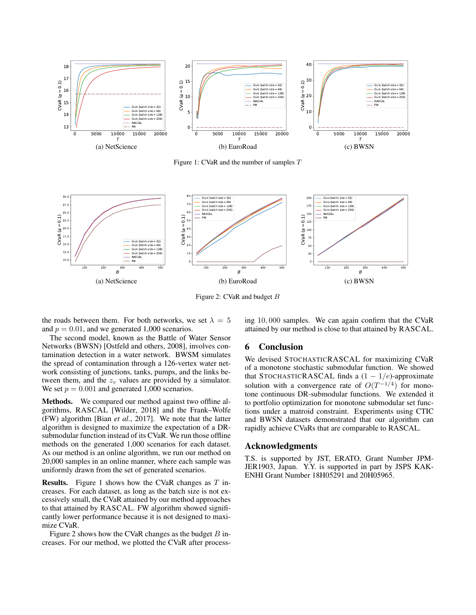<span id="page-5-0"></span>

Figure 1: CVaR and the number of samples T

<span id="page-5-1"></span>

Figure 2: CVaR and budget B

the roads between them. For both networks, we set  $\lambda = 5$ and  $p = 0.01$ , and we generated 1,000 scenarios.

The second model, known as the Battle of Water Sensor Networks (BWSN) [\[Ostfeld and others, 2008\]](#page-6-34), involves contamination detection in a water network. BWSM simulates the spread of contamination through a 126-vertex water network consisting of junctions, tanks, pumps, and the links between them, and the  $z<sub>v</sub>$  values are provided by a simulator. We set  $p = 0.001$  and generated 1,000 scenarios.

Methods. We compared our method against two offline algorithms, RASCAL [\[Wilder, 2018\]](#page-6-14) and the Frank–Wolfe (FW) algorithm [Bian *[et al.](#page-6-2)*, [2017\]](#page-6-2). We note that the latter algorithm is designed to maximize the expectation of a DRsubmodular function instead of its CVaR. We run those offline methods on the generated 1,000 scenarios for each dataset. As our method is an online algorithm, we run our method on 20,000 samples in an online manner, where each sample was uniformly drawn from the set of generated scenarios.

**Results.** Figure [1](#page-5-0) shows how the CVaR changes as  $T$  increases. For each dataset, as long as the batch size is not excessively small, the CVaR attained by our method approaches to that attained by RASCAL. FW algorithm showed significantly lower performance because it is not designed to maximize CVaR.

Figure [2](#page-5-1) shows how the CVaR changes as the budget  $B$  increases. For our method, we plotted the CVaR after processing 10, 000 samples. We can again confirm that the CVaR attained by our method is close to that attained by RASCAL.

# 6 Conclusion

We devised STOCHASTICRASCAL for maximizing CVaR of a monotone stochastic submodular function. We showed that STOCHASTICRASCAL finds a  $(1 - 1/e)$ -approximate solution with a convergence rate of  $O(T^{-1/4})$  for monotone continuous DR-submodular functions. We extended it to portfolio optimization for monotone submodular set functions under a matroid constraint. Experiments using CTIC and BWSN datasets demonstrated that our algorithm can rapidly achieve CVaRs that are comparable to RASCAL.

## Acknowledgments

T.S. is supported by JST, ERATO, Grant Number JPM-JER1903, Japan. Y.Y. is supported in part by JSPS KAK-ENHI Grant Number 18H05291 and 20H05965.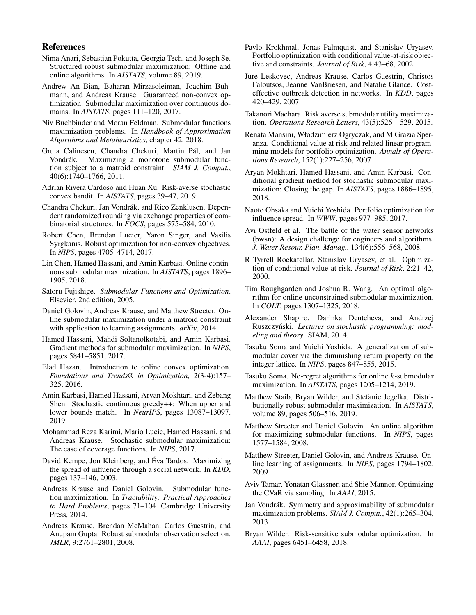# References

- <span id="page-6-26"></span>Nima Anari, Sebastian Pokutta, Georgia Tech, and Joseph Se. Structured robust submodular maximization: Offline and online algorithms. In *AISTATS*, volume 89, 2019.
- <span id="page-6-2"></span>Andrew An Bian, Baharan Mirzasoleiman, Joachim Buhmann, and Andreas Krause. Guaranteed non-convex optimization: Submodular maximization over continuous domains. In *AISTATS*, pages 111–120, 2017.
- <span id="page-6-1"></span>Niv Buchbinder and Moran Feldman. Submodular functions maximization problems. In *Handbook of Approximation Algorithms and Metaheuristics*, chapter 42. 2018.
- <span id="page-6-30"></span>Gruia Calinescu, Chandra Chekuri, Martin Pál, and Jan Vondrák. Maximizing a monotone submodular function subject to a matroid constraint. *SIAM J. Comput.*, 40(6):1740–1766, 2011.
- <span id="page-6-17"></span>Adrian Rivera Cardoso and Huan Xu. Risk-averse stochastic convex bandit. In *AISTATS*, pages 39–47, 2019.
- <span id="page-6-31"></span>Chandra Chekuri, Jan Vondrák, and Rico Zenklusen. Dependent randomized rounding via exchange properties of combinatorial structures. In *FOCS*, pages 575–584, 2010.
- <span id="page-6-25"></span>Robert Chen, Brendan Lucier, Yaron Singer, and Vasilis Syrgkanis. Robust optimization for non-convex objectives. In *NIPS*, pages 4705–4714, 2017.
- <span id="page-6-21"></span>Lin Chen, Hamed Hassani, and Amin Karbasi. Online continuous submodular maximization. In *AISTATS*, pages 1896– 1905, 2018.
- <span id="page-6-29"></span>Satoru Fujishige. *Submodular Functions and Optimization*. Elsevier, 2nd edition, 2005.
- <span id="page-6-20"></span>Daniel Golovin, Andreas Krause, and Matthew Streeter. Online submodular maximization under a matroid constraint with application to learning assignments. *arXiv*, 2014.
- <span id="page-6-4"></span>Hamed Hassani, Mahdi Soltanolkotabi, and Amin Karbasi. Gradient methods for submodular maximization. In *NIPS*, pages 5841–5851, 2017.
- <span id="page-6-15"></span>Elad Hazan. Introduction to online convex optimization. *Foundations and Trends® in Optimization*, 2(3-4):157– 325, 2016.
- <span id="page-6-6"></span>Amin Karbasi, Hamed Hassani, Aryan Mokhtari, and Zebang Shen. Stochastic continuous greedy++: When upper and lower bounds match. In *NeurIPS*, pages 13087–13097. 2019.
- <span id="page-6-3"></span>Mohammad Reza Karimi, Mario Lucic, Hamed Hassani, and Andreas Krause. Stochastic submodular maximization: The case of coverage functions. In *NIPS*, 2017.
- <span id="page-6-13"></span>David Kempe, Jon Kleinberg, and Eva Tardos. Maximizing ´ the spread of influence through a social network. In *KDD*, pages 137–146, 2003.
- <span id="page-6-0"></span>Andreas Krause and Daniel Golovin. Submodular function maximization. In *Tractability: Practical Approaches to Hard Problems*, pages 71–104. Cambridge University Press, 2014.
- <span id="page-6-24"></span>Andreas Krause, Brendan McMahan, Carlos Guestrin, and Anupam Gupta. Robust submodular observation selection. *JMLR*, 9:2761–2801, 2008.
- <span id="page-6-10"></span>Pavlo Krokhmal, Jonas Palmquist, and Stanislav Uryasev. Portfolio optimization with conditional value-at-risk objective and constraints. *Journal of Risk*, 4:43–68, 2002.
- <span id="page-6-32"></span>Jure Leskovec, Andreas Krause, Carlos Guestrin, Christos Faloutsos, Jeanne VanBriesen, and Natalie Glance. Costeffective outbreak detection in networks. In *KDD*, pages 420–429, 2007.
- <span id="page-6-11"></span>Takanori Maehara. Risk averse submodular utility maximization. *Operations Research Letters*, 43(5):526 – 529, 2015.
- <span id="page-6-7"></span>Renata Mansini, Włodzimierz Ogryczak, and M Grazia Speranza. Conditional value at risk and related linear programming models for portfolio optimization. *Annals of Operations Research*, 152(1):227–256, 2007.
- <span id="page-6-5"></span>Aryan Mokhtari, Hamed Hassani, and Amin Karbasi. Conditional gradient method for stochastic submodular maximization: Closing the gap. In *AISTATS*, pages 1886–1895, 2018.
- <span id="page-6-12"></span>Naoto Ohsaka and Yuichi Yoshida. Portfolio optimization for influence spread. In *WWW*, pages 977–985, 2017.
- <span id="page-6-34"></span>Avi Ostfeld et al. The battle of the water sensor networks (bwsn): A design challenge for engineers and algorithms. *J. Water Resour. Plan. Manag.*, 134(6):556–568, 2008.
- <span id="page-6-9"></span>R Tyrrell Rockafellar, Stanislav Uryasev, et al. Optimization of conditional value-at-risk. *Journal of Risk*, 2:21–42, 2000.
- <span id="page-6-22"></span>Tim Roughgarden and Joshua R. Wang. An optimal algorithm for online unconstrained submodular maximization. In *COLT*, pages 1307–1325, 2018.
- <span id="page-6-28"></span>Alexander Shapiro, Darinka Dentcheva, and Andrzej Ruszczyński. Lectures on stochastic programming: mod*eling and theory*. SIAM, 2014.
- <span id="page-6-33"></span>Tasuku Soma and Yuichi Yoshida. A generalization of submodular cover via the diminishing return property on the integer lattice. In *NIPS*, pages 847–855, 2015.
- <span id="page-6-23"></span>Tasuku Soma. No-regret algorithms for online k-submodular maximization. In *AISTATS*, pages 1205–1214, 2019.
- <span id="page-6-27"></span>Matthew Staib, Bryan Wilder, and Stefanie Jegelka. Distributionally robust submodular maximization. In *AISTATS*, volume 89, pages 506–516, 2019.
- <span id="page-6-18"></span>Matthew Streeter and Daniel Golovin. An online algorithm for maximizing submodular functions. In *NIPS*, pages 1577–1584, 2008.
- <span id="page-6-19"></span>Matthew Streeter, Daniel Golovin, and Andreas Krause. Online learning of assignments. In *NIPS*, pages 1794–1802. 2009.
- <span id="page-6-8"></span>Aviv Tamar, Yonatan Glassner, and Shie Mannor. Optimizing the CVaR via sampling. In *AAAI*, 2015.
- <span id="page-6-16"></span>Jan Vondrák. Symmetry and approximability of submodular maximization problems. *SIAM J. Comput.*, 42(1):265–304, 2013.
- <span id="page-6-14"></span>Bryan Wilder. Risk-sensitive submodular optimization. In *AAAI*, pages 6451–6458, 2018.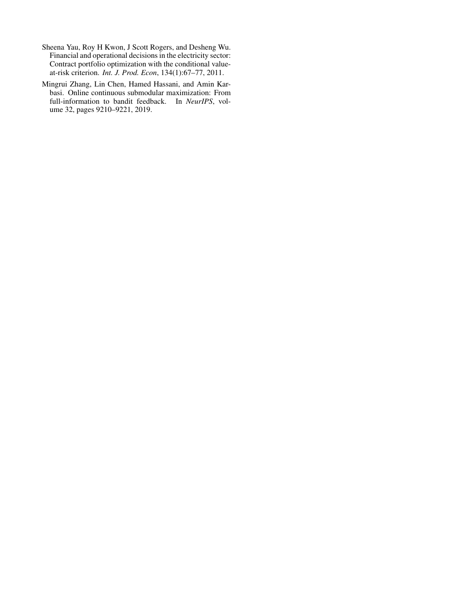- <span id="page-7-0"></span>Sheena Yau, Roy H Kwon, J Scott Rogers, and Desheng Wu. Financial and operational decisions in the electricity sector: Contract portfolio optimization with the conditional valueat-risk criterion. *Int. J. Prod. Econ*, 134(1):67–77, 2011.
- <span id="page-7-1"></span>Mingrui Zhang, Lin Chen, Hamed Hassani, and Amin Karbasi. Online continuous submodular maximization: From full-information to bandit feedback. In *NeurIPS*, volume 32, pages 9210–9221, 2019.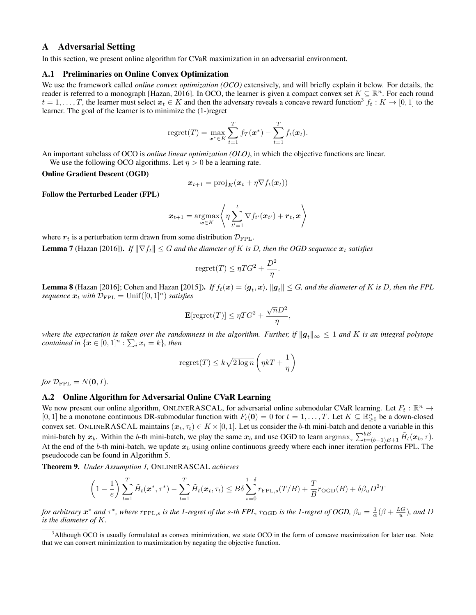# A Adversarial Setting

In this section, we present online algorithm for CVaR maximization in an adversarial environment.

## A.1 Preliminaries on Online Convex Optimization

We use the framework called *online convex optimization (OCO)* extensively, and will briefly explain it below. For details, the reader is referred to a monograph [\[Hazan, 2016\]](#page-6-15). In OCO, the learner is given a compact convex set  $K \subseteq \mathbb{R}^n$ . For each round  $t = 1, \ldots, T$ , the learner must select  $x_t \in K$  and then the adversary reveals a concave reward function<sup>[3](#page-8-0)</sup>  $f_t : K \to [0, 1]$  to the learner. The goal of the learner is to minimize the (1-)regret

$$
\mathrm{regret}(T) = \max_{\boldsymbol{x}^* \in K} \sum_{t=1}^T f_T(\boldsymbol{x}^*) - \sum_{t=1}^T f_t(\boldsymbol{x}_t).
$$

An important subclass of OCO is *online linear optimization (OLO)*, in which the objective functions are linear. We use the following OCO algorithms. Let  $\eta > 0$  be a learning rate.

#### Online Gradient Descent (OGD)

$$
\boldsymbol{x}_{t+1} = \text{proj}_K(\boldsymbol{x}_t + \eta \nabla f_t(\boldsymbol{x}_t))
$$

Follow the Perturbed Leader (FPL)

$$
\boldsymbol{x}_{t+1} = \operatorname*{argmax}_{\boldsymbol{x} \in K} \left\langle \eta \sum_{t'=1}^{t} \nabla f_{t'}(\boldsymbol{x}_{t'}) + \boldsymbol{r}_t, \boldsymbol{x} \right\rangle
$$

where  $r_t$  is a perturbation term drawn from some distribution  $\mathcal{D}_{\text{FPL}}$ .

**Lemma 7** [\(Hazan](#page-6-15) [\[2016\]](#page-6-15)). *If*  $\|\nabla f_t\| \leq G$  *and the diameter of* K *is* D, then the OGD sequence  $x_t$  satisfies

$$
regret(T) \leq \eta TG^2 + \frac{D^2}{\eta}.
$$

**Lemma 8** [\(Hazan](#page-6-15) [\[2016\]](#page-6-15); [Cohen and Hazan](#page-13-0) [\[2015\]](#page-13-0)). If  $f_t(x) = \langle g_t, x \rangle$ ,  $||g_t|| \leq G$ , and the diameter of K is D, then the FPL *sequence*  $x_t$  *with*  $\mathcal{D}_{\text{FPL}} = \text{Unif}([0,1]^n)$  *satisfies* 

$$
\mathbf{E}[\text{regret}(T)] \le \eta T G^2 + \frac{\sqrt{n} D^2}{\eta}
$$

,

*where the expectation is taken over the randomness in the algorithm. Further, if*  $||g_t||_{\infty} \leq 1$  *and* K *is an integral polytope contained in*  $\{x \in [0,1]^n : \sum_i x_i = k\}$ , then

$$
\text{regret}(T) \le k\sqrt{2\log n} \left(\eta kT + \frac{1}{\eta}\right)
$$

*for*  $\mathcal{D}_{\text{FPL}} = N(\mathbf{0}, I)$ *.* 

# A.2 Online Algorithm for Adversarial Online CVaR Learning

We now present our online algorithm, ONLINERASCAL, for adversarial online submodular CVaR learning. Let  $F_t : \mathbb{R}^n \to$ [0, 1] be a monotone continuous DR-submodular function with  $F_t(\mathbf{0}) = 0$  for  $t = 1, \ldots, T$ . Let  $K \subseteq \mathbb{R}_{\geq 0}^n$  be a down-closed convex set. ONLINERASCAL maintains  $(x_t, \tau_t) \in K \times [0, 1]$ . Let us consider the b-th mini-batch and denote a variable in this mini-batch by  $x_b$ . Within the b-th mini-batch, we play the same  $x_b$  and use OGD to learn  $\arg \max_{\tau} \sum_{t=(b-1)B+1}^{bB} \tilde{H}_t(x_b, \tau)$ . At the end of the b-th mini-batch, we update  $x_b$  using online continuous greedy where each inner iteration performs FPL. The pseudocode can be found in Algorithm [5.](#page-9-0)

<span id="page-8-1"></span>Theorem 9. *Under Assumption [1,](#page-2-2)* ONLINERASCAL *achieves*

$$
\left(1-\frac{1}{e}\right)\sum_{t=1}^T \tilde{H}_t(\boldsymbol{x}^*, \tau^*) - \sum_{t=1}^T \tilde{H}_t(\boldsymbol{x}_t, \tau_t) \leq B\delta \sum_{s=0}^{1-\delta} r_{\text{FPL},s}(T/B) + \frac{T}{B}r_{\text{OGD}}(B) + \delta\beta_u D^2 T
$$

*for arbitrary*  $x^*$  *and*  $\tau^*$ *, where*  $r_{\text{FPL},s}$  *is the 1-regret of the s-th FPL,*  $r_{\text{OGD}}$  *is the 1-regret of OGD,*  $\beta_u = \frac{1}{\alpha}(\beta + \frac{LG}{u})$ *, and* D *is the diameter of* K*.*

<span id="page-8-0"></span><sup>&</sup>lt;sup>3</sup>Although OCO is usually formulated as convex minimization, we state OCO in the form of concave maximization for later use. Note that we can convert minimization to maximization by negating the objective function.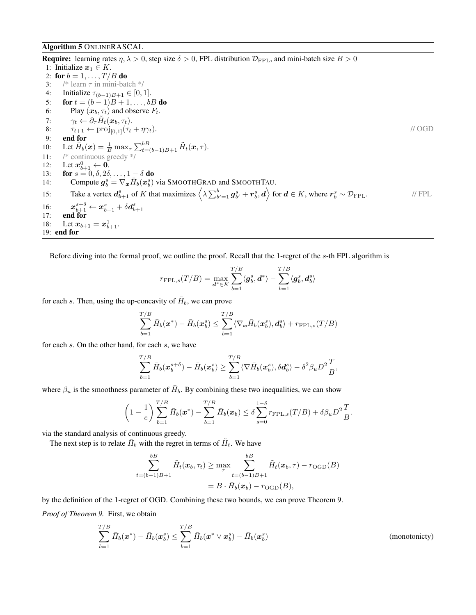## <span id="page-9-0"></span>Algorithm 5 ONLINERASCAL

**Require:** learning rates  $\eta$ ,  $\lambda > 0$ , step size  $\delta > 0$ , FPL distribution  $\mathcal{D}_{\text{FPL}}$ , and mini-batch size  $B > 0$ 1: Initialize  $x_1 \in K$ . 2: for  $b = 1, ..., T/B$  do 3: /\* learn  $\tau$  in mini-batch \*/ 4: Initialize  $\tau_{(b-1)B+1} \in [0,1].$ 5: **for**  $t = (b-1)B + 1, ..., bB$  **do** 6: Play  $(\mathbf{x}_b, \tau_t)$  and observe  $F_t$ . 7:  $\gamma_t \leftarrow \partial_\tau \tilde{H}_t(\boldsymbol{x}_b,\tau_t).$ 8:  $\tau_{t+1} \leftarrow \text{proj}_{[0,1]}(\tau_t + \eta \gamma_t).$  // OGD<br>9: **end for** 9: end for 10: Let  $\bar{H}_b(\bm{x}) = \frac{1}{B} \max_{\tau} \sum_{t=(b-1)B+1}^{b} \tilde{H}_t(\bm{x}, \tau)$ . 11: /\* continuous greedy \*/ 12: Let  $x_{b+1}^0 \leftarrow 0$ . 13: **for**  $s = 0, \delta, 2\delta, \ldots, 1 - \delta$  do 14: Compute  $g_b^s = \nabla_x \bar{H}_b(x_b^s)$  via SMOOTHGRAD and SMOOTHTAU. 15: Take a vertex  $d_{b+1}^s$  of K that maximizes  $\left\langle \lambda \sum_{b'=1}^b g_{b'}^s + r_b^s, d \right\rangle$  for  $d \in K$ , where  $r_b^s \sim \mathcal{D}_{\text{FPL}}$ . // FPL 16:  $x_{b+1}^{s+\delta} \leftarrow x_{b+1}^s + \delta d_{b+1}^s$ <br>17: **end for** 18: Let  $x_{b+1} = x_{b+1}^1$ . 19: end for

Before diving into the formal proof, we outline the proof. Recall that the 1-regret of the s-th FPL algorithm is

$$
r_{\textrm{FPL},s}(T/B)=\max\limits_{\bm{d}^* \in K} \sum\limits_{b=1}^{T/B} \langle \bm{g}_b^s, \bm{d}^* \rangle - \sum\limits_{b=1}^{T/B} \langle \bm{g}_b^s, \bm{d}_b^s \rangle
$$

for each s. Then, using the up-concavity of  $\bar{H}_b$ , we can prove

$$
\sum_{b=1}^{T/B} \bar{H}_b(\boldsymbol{x}^*) - \bar{H}_b(\boldsymbol{x}_b^s) \le \sum_{b=1}^{T/B} \langle \nabla_{\boldsymbol{x}} \bar{H}_b(\boldsymbol{x}_b^s), \boldsymbol{d}_b^s \rangle + r_{\text{FPL},s}(T/B)
$$

for each s. On the other hand, for each s, we have

$$
\sum_{b=1}^{T/B} \bar{H}_b(\boldsymbol{x}_b^{s+\delta}) - \bar{H}_b(\boldsymbol{x}_b^s) \geq \sum_{b=1}^{T/B} \langle \nabla \bar{H}_b(\boldsymbol{x}_b^s), \delta \boldsymbol{d}_b^s \rangle - \delta^2 \beta_u D^2 \frac{T}{B},
$$

where  $\beta_u$  is the smoothness parameter of  $\bar{H}_b$ . By combining these two inequalities, we can show

$$
\left(1-\frac{1}{e}\right)\sum_{b=1}^{T/B}\bar{H}_{b}(\boldsymbol{x}^{*})-\sum_{b=1}^{T/B}\bar{H}_{b}(\boldsymbol{x}_{b})\leq \delta \sum_{s=0}^{1-\delta}r_{\text{FPL},s}(T/B)+\delta \beta_{u}D^{2}\frac{T}{B}.
$$

via the standard analysis of continuous greedy.

The next step is to relate  $\bar{H}_b$  with the regret in terms of  $\tilde{H}_t$ . We have

$$
\sum_{t=(b-1)B+1}^{bB} \tilde{H}_t(\boldsymbol{x}_b, \tau_t) \ge \max_{\tau} \sum_{t=(b-1)B+1}^{bB} \tilde{H}_t(\boldsymbol{x}_b, \tau) - r_{\text{OGD}}(B)
$$
  
=  $B \cdot \bar{H}_b(\boldsymbol{x}_b) - r_{\text{OGD}}(B)$ ,

by the definition of the 1-regret of OGD. Combining these two bounds, we can prove Theorem [9.](#page-8-1)

*Proof of Theorem [9.](#page-8-1)* First, we obtain

$$
\sum_{b=1}^{T/B} \bar{H}_b(\boldsymbol{x}^*) - \bar{H}_b(\boldsymbol{x}_b^s) \le \sum_{b=1}^{T/B} \bar{H}_b(\boldsymbol{x}^* \vee \boldsymbol{x}_b^s) - \bar{H}_b(\boldsymbol{x}_b^s)
$$
\n(monotonicty)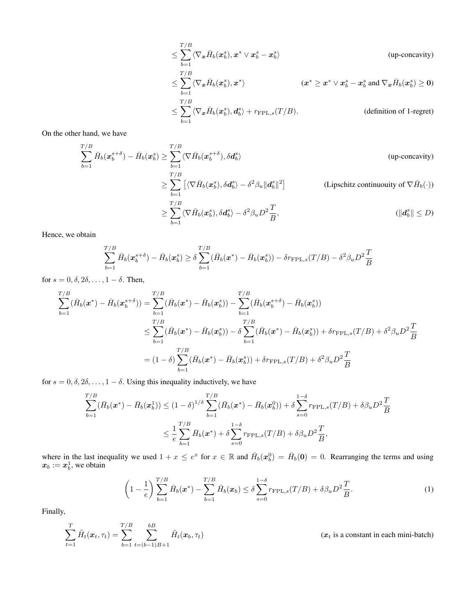$$
\leq \sum_{b=1}^{T/B} \langle \nabla_{\boldsymbol{x}} \bar{H}_b(\boldsymbol{x}_b^s), \boldsymbol{x}^* \vee \boldsymbol{x}_b^s - \boldsymbol{x}_b^s \rangle \qquad \text{(up-concavity)}\n\leq \sum_{b=1}^{T/B} \langle \nabla_{\boldsymbol{x}} \bar{H}_b(\boldsymbol{x}_b^s), \boldsymbol{x}^* \rangle \qquad (\boldsymbol{x}^* \geq \boldsymbol{x}^* \vee \boldsymbol{x}_b^s - \boldsymbol{x}_b^s \text{ and } \nabla_{\boldsymbol{x}} \bar{H}_b(\boldsymbol{x}_b^s) \geq 0)\n\leq \sum_{b=1}^{T/B} \langle \nabla_{\boldsymbol{x}} \bar{H}_b(\boldsymbol{x}_b^s), d_b^s \rangle + r_{\text{FPL},s}(T/B). \qquad \text{(definition of 1-regret)}
$$

On the other hand, we have

$$
\sum_{b=1}^{T/B} \bar{H}_b(x_b^{s+\delta}) - \bar{H}_b(x_b^s) \ge \sum_{b=1}^{T/B} \langle \nabla \bar{H}_b(x_b^{s+\delta}), \delta d_b^s \rangle
$$
 (up-concavity)  

$$
\ge \sum_{b=1}^{T/B} \left[ \langle \nabla \bar{H}_b(x_b^s), \delta d_b^s \rangle - \delta^2 \beta_u \| d_b^s \|^2 \right]
$$
 (Lipschitz continuity of  $\nabla \bar{H}_b(\cdot)$ )  

$$
\ge \sum_{b=1}^{T/B} \langle \nabla \bar{H}_b(x_b^s), \delta d_b^s \rangle - \delta^2 \beta_u D^2 \frac{T}{B},
$$
 (||d<sub>b</sub><sup>s</sup>|| \le D)

Hence, we obtain

$$
\sum_{b=1}^{T/B} \bar{H}_b(\boldsymbol{x}_b^{s+\delta}) - \bar{H}_b(\boldsymbol{x}_b^s) \ge \delta \sum_{b=1}^{T/B} (\bar{H}_b(\boldsymbol{x}^*) - \bar{H}_b(\boldsymbol{x}_b^s)) - \delta r_{\text{FPL},s}(T/B) - \delta^2 \beta_u D^2 \frac{T}{B}
$$

for  $s = 0, \delta, 2\delta, \ldots, 1 - \delta$ . Then,

$$
\sum_{b=1}^{T/B} (\bar{H}_b(\mathbf{x}^*) - \bar{H}_b(\mathbf{x}_b^{s+\delta})) = \sum_{b=1}^{T/B} (\bar{H}_b(\mathbf{x}^*) - \bar{H}_b(\mathbf{x}_b^s)) - \sum_{b=1}^{T/B} (\bar{H}_b(\mathbf{x}_b^{s+\delta}) - \bar{H}_b(\mathbf{x}_b^s))
$$
\n
$$
\leq \sum_{b=1}^{T/B} (\bar{H}_b(\mathbf{x}^*) - \bar{H}_b(\mathbf{x}_b^s)) - \delta \sum_{b=1}^{T/B} (\bar{H}_b(\mathbf{x}^*) - \bar{H}_b(\mathbf{x}_b^s)) + \delta r_{\text{FPL},s}(T/B) + \delta^2 \beta_u D^2 \frac{T}{B}
$$
\n
$$
= (1 - \delta) \sum_{b=1}^{T/B} (\bar{H}_b(\mathbf{x}^*) - \bar{H}_b(\mathbf{x}_b^s)) + \delta r_{\text{FPL},s}(T/B) + \delta^2 \beta_u D^2 \frac{T}{B}
$$

for  $s = 0, \delta, 2\delta, \ldots, 1 - \delta$ . Using this inequality inductively, we have

$$
\sum_{b=1}^{T/B} (\bar{H}_b(\mathbf{x}^*) - \bar{H}_b(\mathbf{x}_b^1)) \le (1 - \delta)^{1/\delta} \sum_{b=1}^{T/B} (\bar{H}_b(\mathbf{x}^*) - \bar{H}_b(\mathbf{x}_b^0)) + \delta \sum_{s=0}^{1-\delta} r_{\text{FPL},s}(T/B) + \delta \beta_u D^2 \frac{T}{B}
$$
  

$$
\le \frac{1}{e} \sum_{b=1}^{T/B} \bar{H}_b(\mathbf{x}^*) + \delta \sum_{s=0}^{1-\delta} r_{\text{FPL},s}(T/B) + \delta \beta_u D^2 \frac{T}{B},
$$

where in the last inequality we used  $1 + x \le e^x$  for  $x \in \mathbb{R}$  and  $\overline{H}_b(x_b^0) = \overline{H}_b(0) = 0$ . Rearranging the terms and using  $x_b := x_b^1$ , we obtain

<span id="page-10-0"></span>
$$
\left(1 - \frac{1}{e}\right) \sum_{b=1}^{T/B} \bar{H}_b(\boldsymbol{x}^*) - \sum_{b=1}^{T/B} \bar{H}_b(\boldsymbol{x}_b) \le \delta \sum_{s=0}^{1-\delta} r_{\text{FPL},s}(T/B) + \delta \beta_u D^2 \frac{T}{B}.
$$
\n(1)

Finally,

$$
\sum_{t=1}^{T} \tilde{H}_t(\boldsymbol{x}_t, \tau_t) = \sum_{b=1}^{T/B} \sum_{t=(b-1)B+1}^{bB} \tilde{H}_t(\boldsymbol{x}_b, \tau_t)
$$
 ( $\boldsymbol{x}_t$  is a constant in each mini-batch)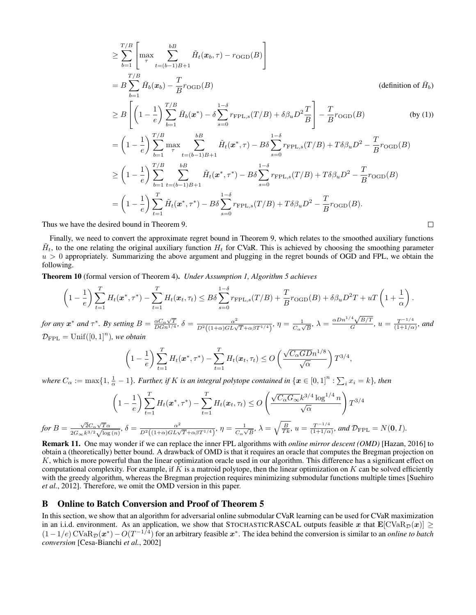$$
\geq \sum_{b=1}^{T/B} \left[ \max_{\tau} \sum_{t=(b-1)B+1}^{bB} \tilde{H}_{t}(x_{b},\tau) - r_{\text{OGD}}(B) \right]
$$
\n
$$
= B \sum_{b=1}^{T/B} \bar{H}_{b}(x_{b}) - \frac{T}{B} r_{\text{OGD}}(B) \qquad \text{(definition of } \bar{H}_{b})
$$
\n
$$
\geq B \left[ \left( 1 - \frac{1}{e} \right) \sum_{b=1}^{T/B} \bar{H}_{b}(x^{*}) - \delta \sum_{s=0}^{1-\delta} r_{\text{FPL},s}(T/B) + \delta \beta_{u} D^{2} \frac{T}{B} \right] - \frac{T}{B} r_{\text{OGD}}(B) \qquad \text{(by (1))}
$$
\n
$$
= \left( 1 - \frac{1}{e} \right) \sum_{b=1}^{T/B} \max_{\tau} \sum_{t=(b-1)B+1}^{bB} \tilde{H}_{t}(x^{*},\tau) - B\delta \sum_{s=0}^{1-\delta} r_{\text{FPL},s}(T/B) + T\delta \beta_{u} D^{2} - \frac{T}{B} r_{\text{OGD}}(B)
$$
\n
$$
\geq \left( 1 - \frac{1}{e} \right) \sum_{b=1}^{T/B} \sum_{t=(b-1)B+1}^{bB} \tilde{H}_{t}(x^{*},\tau^{*}) - B\delta \sum_{s=0}^{1-\delta} r_{\text{FPL},s}(T/B) + T\delta \beta_{u} D^{2} - \frac{T}{B} r_{\text{OGD}}(B)
$$
\n
$$
= \left( 1 - \frac{1}{e} \right) \sum_{t=1}^{T} \tilde{H}_{t}(x^{*},\tau^{*}) - B\delta \sum_{s=0}^{1-\delta} r_{\text{FPL},s}(T/B) + T\delta \beta_{u} D^{2} - \frac{T}{B} r_{\text{OGD}}(B).
$$

 $\Box$ 

Thus we have the desired bound in Theorem [9.](#page-8-1)

Finally, we need to convert the approximate regret bound in Theorem [9,](#page-8-1) which relates to the smoothed auxiliary functions  $\tilde{H}_t$ , to the one relating the original auxiliary function  $H_t$  for CVaR. This is achieved by choosing the smoothing parameter  $u > 0$  appropriately. Summarizing the above argument and plugging in the regret bounds of OGD and FPL, we obtain the following.

<span id="page-11-0"></span>Theorem 10 (formal version of Theorem [4\)](#page-3-4). *Under Assumption [1,](#page-2-2) Algorithm [5](#page-9-0) achieves*

$$
\left(1-\frac{1}{e}\right)\sum_{t=1}^T H_t(\boldsymbol{x}^*,\tau^*) - \sum_{t=1}^T H_t(\boldsymbol{x}_t,\tau_t) \leq B\delta\sum_{s=0}^{1-\delta} r_{\text{FPL},s}(T/B) + \frac{T}{B}r_{\text{OGD}}(B) + \delta\beta_u D^2 T + uT\left(1+\frac{1}{\alpha}\right).
$$

*for any*  $x^*$  *and*  $\tau^*$ *. By setting*  $B = \frac{\alpha C_\alpha \sqrt{T}}{D G n^{1/4}}$ *,*  $\delta = \frac{\alpha^2}{D^2 ((1+\alpha)GL\sqrt{T} + \alpha\beta T^{1/4})}$ *,*  $\eta = \frac{1}{C_\alpha \sqrt{T}}$  $\frac{1}{C_{\alpha}\sqrt{B}}, \lambda = \frac{\alpha Dn^{1/4}\sqrt{B/T}}{G}$  $\frac{\sqrt{B/T}}{G}$ ,  $u = \frac{T^{-1/4}}{(1+1/\alpha)}$  $\frac{T^{-1/4}}{(1+1/\alpha)}$ *, and*  $\mathcal{D}_{\rm FPL} = \text{Unif}([0,1]^n)$ , we obtain

$$
\left(1-\frac{1}{e}\right)\sum_{t=1}^T H_t(\boldsymbol{x}^*,\tau^*) - \sum_{t=1}^T H_t(\boldsymbol{x}_t,\tau_t) \leq O\left(\frac{\sqrt{C_{\alpha}G D}n^{1/8}}{\sqrt{\alpha}}\right) T^{3/4},
$$

where  $C_\alpha := \max\{1,\frac{1}{\alpha}-1\}$ . Further, if K is an integral polytope contained in  $\{x\in[0,1]^n:\sum_ix_i=k\}$ , then

$$
\left(1-\frac{1}{e}\right)\sum_{t=1}^{T}H_t(\boldsymbol{x}^*,\tau^*)-\sum_{t=1}^{T}H_t(\boldsymbol{x}_t,\tau_t)\leq O\left(\frac{\sqrt{C_{\alpha}G_{\infty}}k^{3/4}\log^{1/4}n}{\sqrt{\alpha}}\right)T^{3/4}
$$
\n
$$
\text{for } B = \frac{\sqrt{2}C_{\alpha}\sqrt{T}\alpha}{2G_{\infty}k^{3/2}\sqrt{\log(n)}}, \delta = \frac{\alpha^2}{D^2\left((1+\alpha)GL\sqrt{T}+\alpha\beta T^{1/4}\right)}, \eta = \frac{1}{C_{\alpha}\sqrt{B}}, \lambda = \sqrt{\frac{B}{Tk}}, u = \frac{T^{-1/4}}{(1+1/\alpha)}, \text{ and } \mathcal{D}_{\text{FPL}} = N(\mathbf{0}, I).
$$

Remark 11. One may wonder if we can replace the inner FPL algorithms with *online mirror descent (OMD)* [\[Hazan, 2016\]](#page-6-15) to obtain a (theoretically) better bound. A drawback of OMD is that it requires an oracle that computes the Bregman projection on K, which is more powerful than the linear optimization oracle used in our algorithm. This difference has a significant effect on computational complexity. For example, if  $K$  is a matroid polytope, then the linear optimization on  $K$  can be solved efficiently with the greedy algorithm, whereas the Bregman projection requires minimizing submodular functions multiple times [\[Suehiro](#page-13-1) *[et al.](#page-13-1)*, [2012\]](#page-13-1). Therefore, we omit the OMD version in this paper.

# B Online to Batch Conversion and Proof of Theorem [5](#page-3-5)

In this section, we show that an algorithm for adversarial online submodular CVaR learning can be used for CVaR maximization in an i.i.d. environment. As an application, we show that STOCHASTICRASCAL outputs feasible x that  $\mathbf{E}[\text{CVaR}_{\mathcal{D}}(x)] \geq$  $(1-1/e)$  CVa $R_{\mathcal{D}}(x^*)$  –  $O(T^{-1/4})$  for an arbitrary feasible  $x^*$ . The idea behind the conversion is similar to an *online to batch conversion* [\[Cesa-Bianchi](#page-13-2) *et al.*, [2002\]](#page-13-2)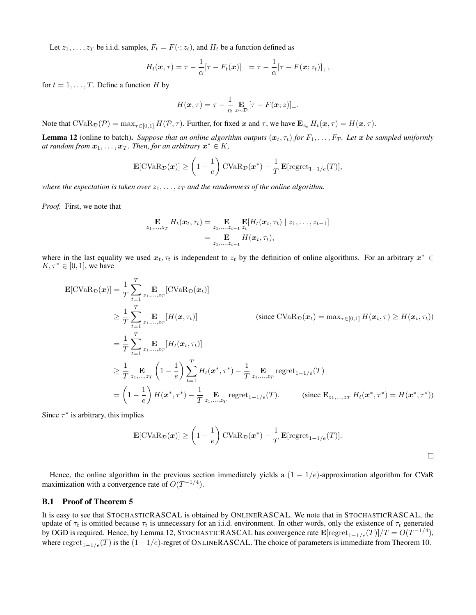Let  $z_1, \ldots, z_T$  be i.i.d. samples,  $F_t = F(\cdot; z_t)$ , and  $H_t$  be a function defined as

$$
H_t(\boldsymbol{x},\tau) = \tau - \frac{1}{\alpha} [\tau - F_t(\boldsymbol{x})]_+ = \tau - \frac{1}{\alpha} [\tau - F(\boldsymbol{x}; z_t)]_+,
$$

for  $t = 1, \ldots, T$ . Define a function H by

$$
H(\boldsymbol{x},\tau) = \tau - \frac{1}{\alpha} \mathop{\mathbf{E}}_{z\sim\mathcal{D}} \left[\tau - F(\boldsymbol{x};z)\right]_+.
$$

Note that  $CVaR_{\mathcal{D}}(\mathcal{P}) = \max_{\tau \in [0,1]} H(\mathcal{P}, \tau)$ . Further, for fixed x and  $\tau$ , we have  $\mathbf{E}_{z_t} H_t(\mathbf{x}, \tau) = H(\mathbf{x}, \tau)$ .

<span id="page-12-0"></span>**Lemma 12** (online to batch). *Suppose that an online algorithm outputs*  $(x_t, \tau_t)$  *for*  $F_1, \ldots, F_T$ . Let x be sampled uniformly at random from  $\boldsymbol{x}_1,\ldots,\boldsymbol{x}_T$ . Then, for an arbitrary  $\boldsymbol{x}^*\in K$ ,

$$
\mathbf{E}[\text{CVaR}_{\mathcal{D}}(\boldsymbol{x})] \ge \left(1 - \frac{1}{e}\right) \text{CVaR}_{\mathcal{D}}(\boldsymbol{x}^*) - \frac{1}{T} \mathbf{E}[\text{regret}_{1-1/e}(T)],
$$

*where the expectation is taken over*  $z_1, \ldots, z_T$  *and the randomness of the online algorithm.* 

*Proof.* First, we note that

$$
\mathbf{E}_{z_1,\ldots,z_T} H_t(\boldsymbol{x}_t,\tau_t) = \mathbf{E}_{z_1,\ldots,z_{t-1}} \mathbf{E}[H_t(\boldsymbol{x}_t,\tau_t) \mid z_1,\ldots,z_{t-1}] \n= \mathbf{E}_{z_1,\ldots,z_{t-1}} H(\boldsymbol{x}_t,\tau_t),
$$

where in the last equality we used  $x_t, \tau_t$  is independent to  $z_t$  by the definition of online algorithms. For an arbitrary  $x^* \in$  $K, \tau^* \in [0,1]$ , we have

$$
\mathbf{E}[\text{CVaR}_{\mathcal{D}}(\boldsymbol{x})] = \frac{1}{T} \sum_{t=1}^{T} \mathbf{E}_{z_1, \dots, z_T}[\text{CVaR}_{\mathcal{D}}(\boldsymbol{x}_t)]
$$
\n
$$
\geq \frac{1}{T} \sum_{t=1}^{T} \mathbf{E}_{z_1, \dots, z_T}[\boldsymbol{H}(\boldsymbol{x}, \tau_t)] \qquad \text{(since } \text{CVaR}_{\mathcal{D}}(\boldsymbol{x}_t) = \max_{\tau \in [0,1]} \boldsymbol{H}(\boldsymbol{x}_t, \tau) \geq \boldsymbol{H}(\boldsymbol{x}_t, \tau_t))
$$
\n
$$
= \frac{1}{T} \sum_{t=1}^{T} \mathbf{E}_{z_1, \dots, z_T}[\boldsymbol{H}_t(\boldsymbol{x}_t, \tau_t)]
$$
\n
$$
\geq \frac{1}{T} \sum_{z_1, \dots, z_T} \left(1 - \frac{1}{e}\right) \sum_{t=1}^{T} \boldsymbol{H}_t(\boldsymbol{x}^*, \tau^*) - \frac{1}{T} \sum_{z_1, \dots, z_T} \text{regret}_{1-1/e}(T)
$$
\n
$$
= \left(1 - \frac{1}{e}\right) \boldsymbol{H}(\boldsymbol{x}^*, \tau^*) - \frac{1}{T} \sum_{z_1, \dots, z_T} \text{regret}_{1-1/e}(T). \qquad \text{(since } \mathbf{E}_{z_1, \dots, z_T} \boldsymbol{H}_t(\boldsymbol{x}^*, \tau^*) = \boldsymbol{H}(\boldsymbol{x}^*, \tau^*))
$$

Since  $\tau^*$  is arbitrary, this implies

$$
\mathbf{E}[\text{CVaR}_{\mathcal{D}}(\boldsymbol{x})] \ge \left(1 - \frac{1}{e}\right) \text{CVaR}_{\mathcal{D}}(\boldsymbol{x}^*) - \frac{1}{T} \mathbf{E}[\text{regret}_{1-1/e}(T)].
$$

Hence, the online algorithm in the previous section immediately yields a  $(1 - 1/e)$ -approximation algorithm for CVaR maximization with a convergence rate of  $O(T^{-1/4})$ .

# B.1 Proof of Theorem [5](#page-3-5)

It is easy to see that STOCHASTICRASCAL is obtained by ONLINERASCAL. We note that in STOCHASTICRASCAL, the update of  $\tau_t$  is omitted because  $\tau_t$  is unnecessary for an i.i.d. environment. In other words, only the existence of  $\tau_t$  generated by OGD is required. Hence, by Lemma [12,](#page-12-0) STOCHASTICRASCAL has convergence rate  $\mathbf{E}[\text{regret}_{1-1/e}(T)]/T = O(T^{-1/4})$ , where regret<sub>1−1/e</sub>(T) is the  $(1-1/e)$ -regret of ONLINERASCAL. The choice of parameters is immediate from Theorem [10.](#page-11-0)